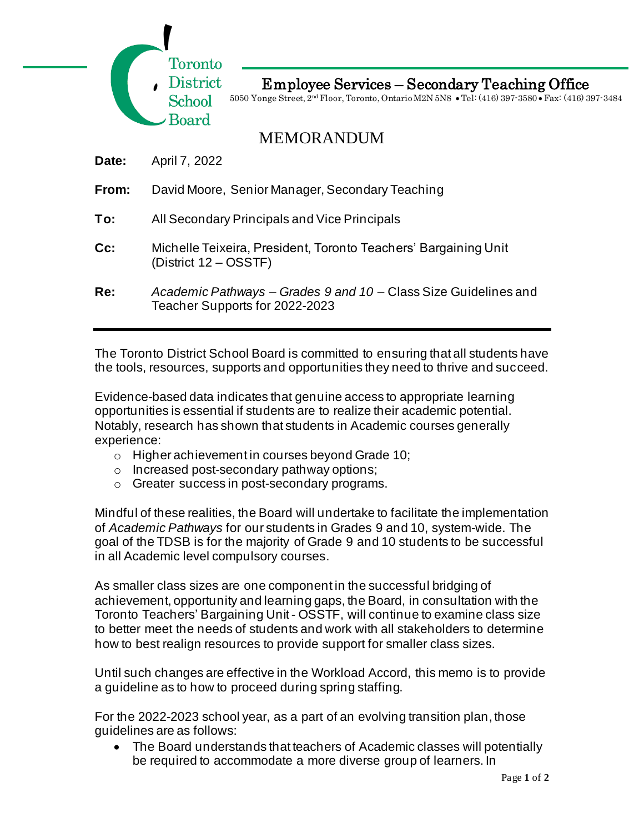

Employee Services – Secondary Teaching Office

5050 Yonge Street, 2nd Floor, Toronto, Ontario M2N 5N8 • Tel: (416) 397-3580 • Fax: (416) 397-3484

MEMORANDUM

**Date:** April 7, 2022

- **From:** David Moore, Senior Manager, Secondary Teaching
- **To:** All Secondary Principals and Vice Principals
- **Cc:** Michelle Teixeira, President, Toronto Teachers' Bargaining Unit (District 12 – OSSTF)
- **Re:** *Academic Pathways – Grades 9 and 10* Class Size Guidelines and Teacher Supports for 2022-2023

The Toronto District School Board is committed to ensuring that all students have the tools, resources, supports and opportunities they need to thrive and succeed.

Evidence-based data indicates that genuine access to appropriate learning opportunities is essential if students are to realize their academic potential. Notably, research has shown that students in Academic courses generally experience:

- o Higher achievement in courses beyond Grade 10;
- o Increased post-secondary pathway options;
- o Greater success in post-secondary programs.

Mindful of these realities, the Board will undertake to facilitate the implementation of *Academic Pathways* for our students in Grades 9 and 10, system-wide. The goal of the TDSB is for the majority of Grade 9 and 10 students to be successful in all Academic level compulsory courses.

As smaller class sizes are one component in the successful bridging of achievement, opportunity and learning gaps, the Board, in consultation with the Toronto Teachers' Bargaining Unit - OSSTF, will continue to examine class size to better meet the needs of students and work with all stakeholders to determine how to best realign resources to provide support for smaller class sizes.

Until such changes are effective in the Workload Accord, this memo is to provide a guideline as to how to proceed during spring staffing.

For the 2022-2023 school year, as a part of an evolving transition plan, those guidelines are as follows:

• The Board understands that teachers of Academic classes will potentially be required to accommodate a more diverse group of learners. In